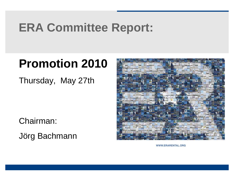# **ERA Committee Report:**

# **Promotion 2010**

Thursday, May 27th

Chairman:

Jörg Bachmann



WWW.ERARENTAL.ORG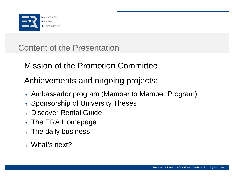

Content of the Presentation

Mission of the Promotion Committee

Achievements and ongoing projects:

- <sup>n</sup> Ambassador program (Member to Member Program)
- <sup>n</sup> Sponsorship of University Theses
- <sup>n</sup> Discover Rental Guide
- n The ERA Homepage
- n The daily business
- <sup>n</sup> What's next?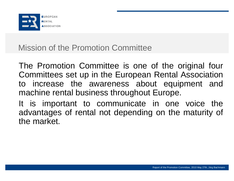

## Mission of the Promotion Committee

The Promotion Committee is one of the original four Committees set up in the European Rental Association to increase the awareness about equipment and machine rental business throughout Europe.

It is important to communicate in one voice the advantages of rental not depending on the maturity of the market.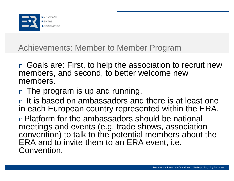

Achievements: Member to Member Program

n Goals are: First, to help the association to recruit new members, and second, to better welcome new members.

n The program is up and running.

n It is based on ambassadors and there is at least one in each European country represented within the ERA.

nPlatform for the ambassadors should be national meetings and events (e.g. trade shows, association convention) to talk to the potential members about the ERA and to invite them to an ERA event, i.e. Convention.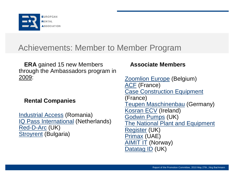

## Achievements: Member to Member Program

**ERA** gained 15 new Members through the Ambassadors program in 2009:

#### **Rental Companies**

Industrial Access (Romania) IQ Pass International (Netherlands) Red-D-Arc (UK) **Stroyrent (Bulgaria)** 

## **Associate Members**

Zoomlion Europe (Belgium) ACF (France) **Case Construction Equipment** (France) Teupen Maschinenbau (Germany) Kosran ECV (Ireland) Godwin Pumps (UK) The National Plant and Equipment Register (UK) Primax (UAE) **AIMIT IT (Norway)** Datatag ID (UK)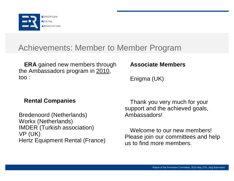

## Achievements: Member to Member Program

**ERA** gained new members through the Ambassadors program in 2010, too :

## **Associate Members**

Enigma (UK)

## **Rental Companies**

Bredenoord (Netherlands) Workx (Netherlands) IMDER (Turkish association) VP (UK) Hertz Equipment Rental (France)

Thank you very much for your support and the achieved goals, Ambassadors!

Welcome to our new members! Please join our committees and help us to find more members.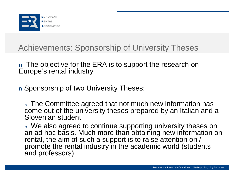

Achievements: Sponsorship of University Theses

n The objective for the ERA is to support the research on Europe's rental industry

n Sponsorship of two University Theses:

n The Committee agreed that not much new information has come out of the university theses prepared by an Italian and a Slovenian student.

n We also agreed to continue supporting university theses on an ad hoc basis. Much more than obtaining new information on rental, the aim of such a support is to raise attention on / promote the rental industry in the academic world (students and professors).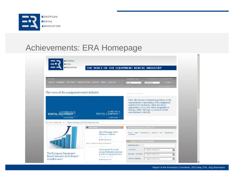

## Achievements: ERA Homepage

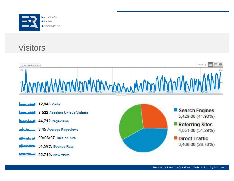

## **Visitors**

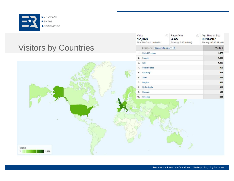

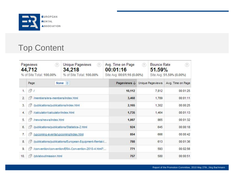

# Top Content

| <b>Pageviews</b><br>(2)<br>44.712<br>% of Site Total: 100.00% |                                                             | Unique Pageviews<br>(2)<br>34,218<br>% of Site Total: 100.00% | Avg. Time on Page<br>(2)<br>00:01:16<br>Site Avg: 00:01:16 (0.00%) |     | <b>Bounce Rate</b><br>(?)<br><b>51.59%</b><br>Site Avg: 51.59% (0.00%) |                   |
|---------------------------------------------------------------|-------------------------------------------------------------|---------------------------------------------------------------|--------------------------------------------------------------------|-----|------------------------------------------------------------------------|-------------------|
|                                                               | Page                                                        | None $\vee$                                                   | Pageviews $\downarrow$                                             |     | Unique Pageviews                                                       | Avg. Time on Page |
| 1.                                                            | (2)                                                         | 10,112                                                        | 7,812                                                              |     | 00:01:25                                                               |                   |
| 2.                                                            | rØ<br>/members/era-members/index.html                       | 3,468                                                         | 1,789                                                              |     | 00:01:11                                                               |                   |
| 3.                                                            | /publications/publications/index.html<br>rĻ2                | 2,165                                                         | 1,302                                                              |     | 00:00:25                                                               |                   |
| $\overline{4}$                                                | rŲ<br>/calculator/calculator/index.html                     | 1,735                                                         | 1,464                                                              |     | 00:01:13                                                               |                   |
| 5.                                                            | rlą<br>/news/news/index.html                                | 1,067                                                         |                                                                    | 865 | 00:01:32                                                               |                   |
| 6.                                                            | /publications/publications/Statistics-2.html<br>rlą.        | 924                                                           |                                                                    | 645 | 00:00:18                                                               |                   |
| 7.                                                            | 望<br>/upcoming-events/upcoming/index.html                   | 854                                                           |                                                                    | 666 | 00:00:42                                                               |                   |
| 8.                                                            | /publications/publications/European-Equipment-Rental-I<br>望 | 788                                                           |                                                                    | 613 | 00:01:36                                                               |                   |
| 9.                                                            | rØ<br>/convention/convention/ERA-Convention-2010-4.html?    |                                                               | 771                                                                | 593 |                                                                        | 00:02:56          |
| 10.                                                           | 望<br>/pb/about/mission.html                                 | 757                                                           | 580                                                                |     | 00:00:51                                                               |                   |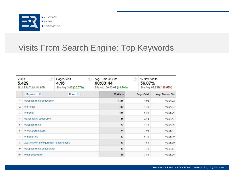

## Visits From Search Engine: Top Keywords

| <b>Visits</b><br>$^{(7)}$<br>5,429<br>% of Site Total: 41.93% |                                             | Pages/Visit<br>$(2)$<br>4.16<br>Site Avg: 3.45 (20.57%) | Avg. Time on Site<br>00:03:44<br>Site Avg: 00:03:07 (19.79%) | (2)<br>56.07% | % New Visits<br>Site Avg: 62.71% (-10.59%) |  |
|---------------------------------------------------------------|---------------------------------------------|---------------------------------------------------------|--------------------------------------------------------------|---------------|--------------------------------------------|--|
|                                                               | Keyword %                                   | None $\vee$                                             | Visits $\downarrow$                                          | Pages/Visit   | Avg. Time on Site                          |  |
| 1.                                                            | european rental association                 |                                                         | 1,386                                                        | 4.92          | 00:04:22                                   |  |
| 2                                                             | era rental                                  |                                                         | 367                                                          | 4.30          | 00:04:13                                   |  |
| 3.                                                            | erarental                                   |                                                         | 116                                                          | 5.80          | 00:05:26                                   |  |
| 4.                                                            | danish rental association                   |                                                         | 86                                                           | 2.42          | 00:01:48                                   |  |
| 5.                                                            | european rental                             |                                                         | 77                                                           | 4.19          | 00:04:16                                   |  |
| 6.                                                            | www.erarental.org                           |                                                         | 74                                                           | 7.03          | 00:06:17                                   |  |
| 7.                                                            | erarental.org                               |                                                         | 63                                                           | 5.70          | 00:05:19                                   |  |
| 8.                                                            | 2008 state of the equipment rental industry |                                                         | 57                                                           | 1.54          | 00:05:09                                   |  |
| 9.                                                            | european rental assosication                |                                                         | 57                                                           | 1.30          | 00:01:38                                   |  |
| 10.                                                           | rental association.                         |                                                         | 50                                                           | 3.84          | 00:05:20                                   |  |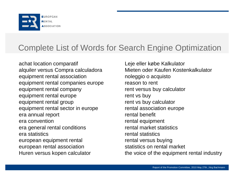

# Complete List of Words for Search Engine Optimization

achat location comparatif alquiler versus Compra calculadora equipment rental association equipment rental companies europe equipment rental company equipment rental europe equipment rental group equipment rental sector in europe era annual report era convention era general rental conditions era statistics european equipment rental european rental association Huren versus kopen calculator

Leje eller købe Kalkulator Mieten oder Kaufen Kostenkalkulator noleggio o acquisto reason to rent rent versus buy calculator rent vs buy rent vs buy calculator rental association europe rental benefit rental equipment rental market statistics rental statistics rental versus buying statistics on rental market the voice of the equipment rental industry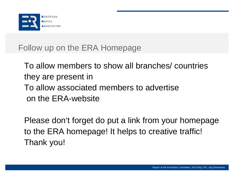

# Follow up on the ERA Homepage

To allow members to show all branches/ countries they are present in To allow associated members to advertise on the ERA-website

Please don't forget do put a link from your homepage to the ERA homepage! It helps to creative traffic! Thank you!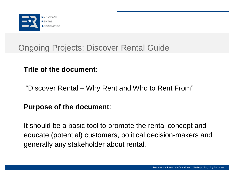

## **Title of the document**:

"Discover Rental – Why Rent and Who to Rent From"

## **Purpose of the document**:

It should be a basic tool to promote the rental concept and educate (potential) customers, political decision-makers and generally any stakeholder about rental.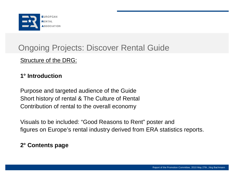

## Structure of the DRG:

## **1° Introduction**

Purpose and targeted audience of the Guide Short history of rental & The Culture of Rental Contribution of rental to the overall economy

Visuals to be included: "Good Reasons to Rent" poster and figures on Europe's rental industry derived from ERA statistics reports.

#### **2° Contents page**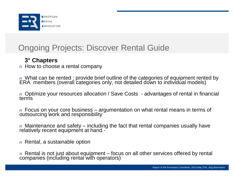

## **3° Chapters**

n How to choose a rental company

n What can be rented : provide brief outline of the categories of equipment rented by ERA members (overall categories only, not detailed down to individual models)

n Optimize your resources allocation / Save Costs - advantages of rental in financial terms

n Focus on your core business – argumentation on what rental means in terms of outsourcing work and responsibility

n Maintenance and safety – including the fact that rental companies usually have relatively recent equipment at hand -

n Rental, a sustainable option

n Rental is not just about equipment – focus on all other services offered by rental companies (including rental with operators)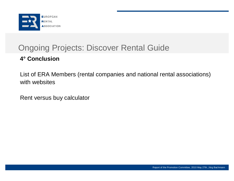

## **4° Conclusion**

List of ERA Members (rental companies and national rental associations) with websites

Rent versus buy calculator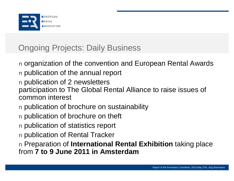

# Ongoing Projects: Daily Business

- n organization of the convention and European Rental Awards n publication of the annual report
- n publication of 2 newsletters
- participation to The Global Rental Alliance to raise issues of common interest
- n publication of brochure on sustainability
- n publication of brochure on theft
- n publication of statistics report
- n publication of Rental Tracker

n Preparation of **International Rental Exhibition** taking place from **7 to 9 June 2011 in Amsterdam**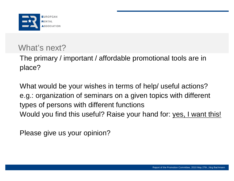

# What's next?

The primary / important / affordable promotional tools are in place?

What would be your wishes in terms of help/ useful actions? e.g.: organization of seminars on a given topics with different types of persons with different functions Would you find this useful? Raise your hand for: yes, I want this!

Please give us your opinion?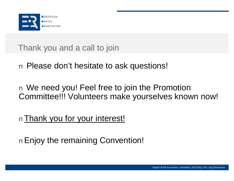

Thank you and a call to join

n Please don't hesitate to ask questions!

n We need you! Feel free to join the Promotion Committee!!! Volunteers make yourselves known now!

nThank you for your interest!

nEnjoy the remaining Convention!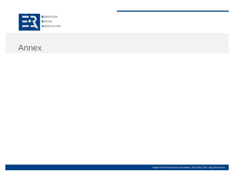

## Annex